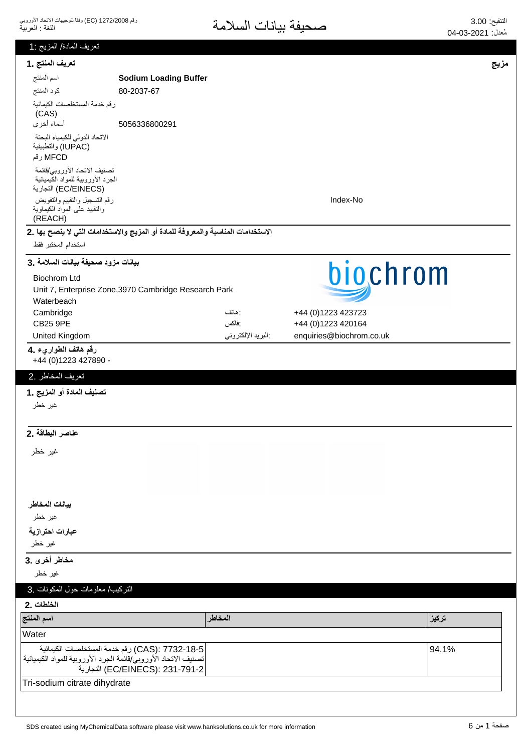| تعريف المادة/ المزيج :1                                                                   |                                                                                   |                   |                                          |       |
|-------------------------------------------------------------------------------------------|-----------------------------------------------------------------------------------|-------------------|------------------------------------------|-------|
| تعريف المنتج .1                                                                           |                                                                                   |                   |                                          | مزيج  |
| اسم المنتج                                                                                | <b>Sodium Loading Buffer</b>                                                      |                   |                                          |       |
| كود المنتج                                                                                | 80-2037-67                                                                        |                   |                                          |       |
| رقم خدمة المستخلصات الكيمائية<br>(CAS)                                                    |                                                                                   |                   |                                          |       |
| أسماء أخرى                                                                                | 5056336800291                                                                     |                   |                                          |       |
| الاتحاد الدولي للكيمياء البحتة<br>(IUPAC) والتطبيقية<br>MFCD رقم                          |                                                                                   |                   |                                          |       |
| تصنيف الاتحاد الأوروبي/قائمة<br>الجرد الأوروبية للمواد الكيميائية<br>(EC/EINECS) التجارية |                                                                                   |                   |                                          |       |
| رقم التسجيل والتقييم والتفويض<br>والنقييد على المواد الكيماوية<br>(REACH)                 |                                                                                   |                   | Index-No                                 |       |
|                                                                                           | الاستخدامات المناسبة والمعروفة للمادة أو المزيج والاستخدامات التي لا ينصح بها .2  |                   |                                          |       |
| استخدام المختبر فقط                                                                       |                                                                                   |                   |                                          |       |
| بيانات مزود صحيفة بيانات السلامة .3                                                       |                                                                                   |                   | biochrom                                 |       |
| <b>Biochrom Ltd</b>                                                                       |                                                                                   |                   |                                          |       |
|                                                                                           | Unit 7, Enterprise Zone, 3970 Cambridge Research Park                             |                   |                                          |       |
| Waterbeach                                                                                |                                                                                   |                   |                                          |       |
| Cambridge<br><b>CB25 9PE</b>                                                              |                                                                                   | : هاتف<br>:فاكس   | +44 (0)1223 423723<br>+44 (0)1223 420164 |       |
| United Kingdom                                                                            |                                                                                   | البريد الإلكتروني | enquiries@biochrom.co.uk                 |       |
| رقم هاتف الطواريء .4                                                                      |                                                                                   |                   |                                          |       |
| +44 (0) 1223 427890 -                                                                     |                                                                                   |                   |                                          |       |
| تعريف المخاطر .2                                                                          |                                                                                   |                   |                                          |       |
| تصنيف المادة أو المزيج .1                                                                 |                                                                                   |                   |                                          |       |
| غير خطر                                                                                   |                                                                                   |                   |                                          |       |
| عناصر البطاقة .2                                                                          |                                                                                   |                   |                                          |       |
| غير خطر                                                                                   |                                                                                   |                   |                                          |       |
|                                                                                           |                                                                                   |                   |                                          |       |
|                                                                                           |                                                                                   |                   |                                          |       |
| بيانات المخاطر                                                                            |                                                                                   |                   |                                          |       |
| غير خطر                                                                                   |                                                                                   |                   |                                          |       |
| عبارات احترازية                                                                           |                                                                                   |                   |                                          |       |
| غير خطر                                                                                   |                                                                                   |                   |                                          |       |
| مخاطر أخرى .3                                                                             |                                                                                   |                   |                                          |       |
| غير خطر                                                                                   |                                                                                   |                   |                                          |       |
| التركيب/ معلومات حول المكونات .3                                                          |                                                                                   |                   |                                          |       |
| الخلطات .2                                                                                |                                                                                   |                   |                                          |       |
| اسم المنتج                                                                                |                                                                                   | المخاطر           |                                          | تركيز |
| Water                                                                                     |                                                                                   |                   |                                          |       |
| تصنيف الاتحاد الأوروبي/قائمة الجرد الأوروبية للمواد الكيميائية                            | CAS): 7732-18-5) رقم خدمة المستخلصات الكيمائية<br>EC/EINECS): 231-791-2) التجارية |                   |                                          | 94.1% |
| Tri-sodium citrate dihydrate                                                              |                                                                                   |                   |                                          |       |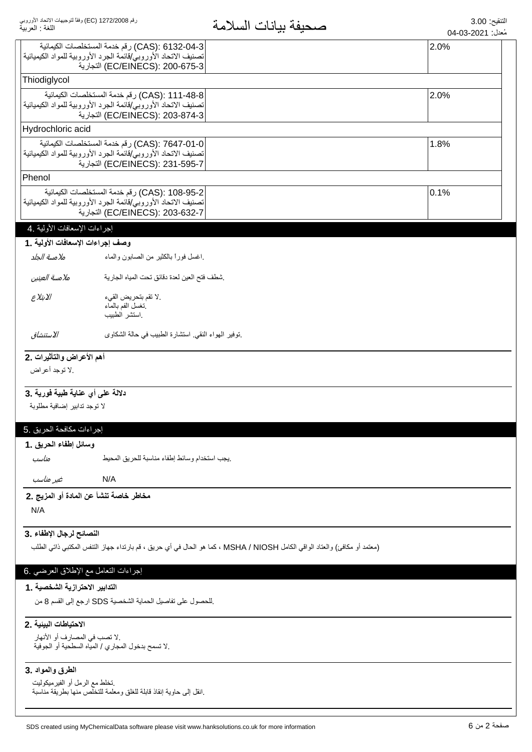| اللغة : العربية                                                                                    | صحيفه بيانات السلامة                                                                                                      | مُعدل: 2021-03-04 |
|----------------------------------------------------------------------------------------------------|---------------------------------------------------------------------------------------------------------------------------|-------------------|
| CAS): 6132-04-3) رقم خدمة المستخلصات الكيمائية                                                     |                                                                                                                           | 2.0%              |
| تصنيف الاتحاد الأوروبي/قائمة الجرد الأوروبية للمواد الكيميائية                                     |                                                                                                                           |                   |
| (EC/EINECS): 200-675-3) التجارية                                                                   |                                                                                                                           |                   |
| Thiodiglycol                                                                                       |                                                                                                                           |                   |
| CAS): 111-48-8) رقم خدمة المستخلصات الكيمائية                                                      |                                                                                                                           | 2.0%              |
| تصنيف الاتحاد الأوروبي/قائمة الجرد الأوروبية للمواد الكيميائية                                     |                                                                                                                           |                   |
| EC/EINECS): 203-874-3) التجارية                                                                    |                                                                                                                           |                   |
| Hydrochloric acid                                                                                  |                                                                                                                           |                   |
| CAS): 7647-01-0) رقم خدمة المستخلصات الكيمائية                                                     |                                                                                                                           | 1.8%              |
| تصنيف الاتحاد الأوروبي/قائمة الجرد الأوروبية للمواد الكيميائية                                     |                                                                                                                           |                   |
| (EC/EINECS): 231-595-7 التجارية                                                                    |                                                                                                                           |                   |
| Phenol                                                                                             |                                                                                                                           |                   |
| CAS): 108-95-2) رقم خدمة المستخلصات الكيمائية                                                      |                                                                                                                           | 0.1%              |
| تصنيف الاتحاد الأوروبي/قائمة الجرد الأوروبية للمواد الكيميائية                                     |                                                                                                                           |                   |
| EC/EINECS): 203-632-7) التجارية                                                                    |                                                                                                                           |                   |
| إجراءات الإسعافات الأولية .4                                                                       |                                                                                                                           |                   |
| وصف إجراءات الإسعافات الأولية .1                                                                   |                                                                                                                           |                   |
| اغسل فورأ بالكثير من الصىابون والماء<br>ملامسة الجلد                                               |                                                                                                                           |                   |
|                                                                                                    |                                                                                                                           |                   |
| شطف فتح العين لعدة دقائق نحت المياه الجارية<br>ملامسة العينين                                      |                                                                                                                           |                   |
| الابتلاع<br>.لا تقم بتحريض القيء                                                                   |                                                                                                                           |                   |
| نغسل الفم بالماء                                                                                   |                                                                                                                           |                   |
| استشر الطبيب                                                                                       |                                                                                                                           |                   |
| الاستنشاق<br>نوفير الهواء النقي استشارة الطبيب في حالة الشكاوى                                     |                                                                                                                           |                   |
| أهم الأعراض والتأثيرات .2                                                                          |                                                                                                                           |                   |
| .لا توجد أعراض                                                                                     |                                                                                                                           |                   |
|                                                                                                    |                                                                                                                           |                   |
| دلالة على أي عناية طبية فورية .3                                                                   |                                                                                                                           |                   |
| لا توجد تدابير إضافية مطلوبة                                                                       |                                                                                                                           |                   |
|                                                                                                    |                                                                                                                           |                   |
| إجراءات مكافحة الحريق .5                                                                           |                                                                                                                           |                   |
| وسائل إطفاء الحريق .1                                                                              |                                                                                                                           |                   |
|                                                                                                    |                                                                                                                           |                   |
| يجب استخدام وسائط إطفاء مناسبة للحريق المحيط<br>مناسب                                              |                                                                                                                           |                   |
| غير مناسب<br>N/A                                                                                   |                                                                                                                           |                   |
| مخاطر خاصة تنشأ عن المادة أو المزيج .2                                                             |                                                                                                                           |                   |
| N/A                                                                                                |                                                                                                                           |                   |
|                                                                                                    |                                                                                                                           |                   |
| النصائح لرجال الإطفاء .3                                                                           |                                                                                                                           |                   |
|                                                                                                    | (معتمد أو مكافئ) والعتاد الواقي الكامل MSHA / NIOSH ، كما هو الحال في أي حريق ، قم بارتداء جهاز التنفس المكتبي ذاتي الطلب |                   |
|                                                                                                    |                                                                                                                           |                   |
| إجراءات النعامل مع الإطلاق العرضي .6                                                               |                                                                                                                           |                   |
| التدابير الاحترازية الشخصية . 1                                                                    |                                                                                                                           |                   |
|                                                                                                    |                                                                                                                           |                   |
| للحصول على تفاصيل الحماية الشخصية SDS ارجع إلى القسم 8 من                                          |                                                                                                                           |                   |
| الاحتياطات البينية .2                                                                              |                                                                                                                           |                   |
| .لا تصب في المصارف أو الأنهار                                                                      |                                                                                                                           |                   |
| .لا تسمح بدخول المجاري / المياه السطحية أو الجوفية                                                 |                                                                                                                           |                   |
|                                                                                                    |                                                                                                                           |                   |
| الطرق والمواد .3                                                                                   |                                                                                                                           |                   |
| تخلط مع الرمل أو الفيرميكوليت<br>إنقل إلى حاوية إنقاذ قابلة للغلق ومعلمة للتخلص منها بطريقة مناسبة |                                                                                                                           |                   |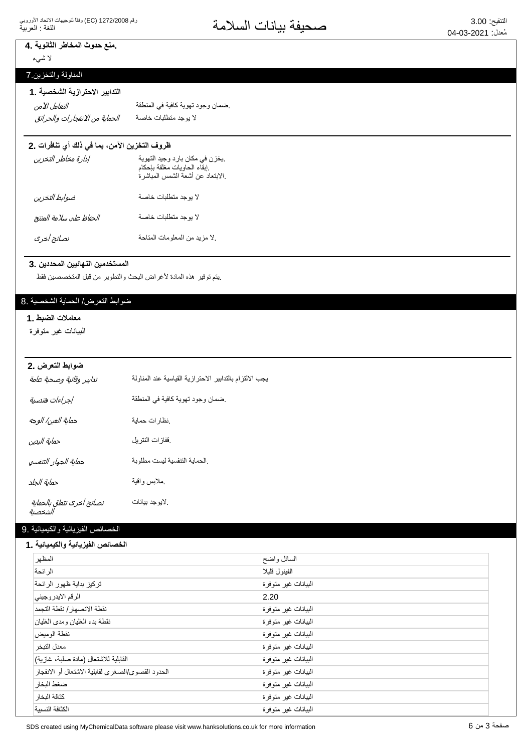### منع حدوث المخاطر الثانوية .4

لا شيء

المناولة والتخزين 7

# التدابير الاحترازية الشخصية .1

͙̜̺͙ͯͅ͵̵͙̼͙ͣ̓͆̚͜ͳ̻̻̜̺͙͂̀̓ ΔλΎΧΕΎΑϠρΗϣΩΟϭϳϻ التعامل الآمن

ضمان وجود تهوية كافية في المنطقة

#### ظروف التخزين الآمن، بما في ذلك أي تنافرات .2

| إدارة مخاطر التخزين     | يخزن في مكان بارد وجيد التهوية<br>إبقاء الحاويات مغلقة بإحكام.<br>الابتعاد عن أشعة الشمس المباشرة. |
|-------------------------|----------------------------------------------------------------------------------------------------|
| ضوابط التخزين           | لا بوجد متطلبات خاصة                                                                               |
| الحفاظ على سلامة المنتج | لا بوجد متطلبات خاصة                                                                               |
| نصائح أخرى              | لا مزيد من المعلومات المتاحة                                                                       |

## ــــــــــــ<br>المستخدمين النهائيين المحددين .3

يتم توفير هذه المادة لأغراض البحث والتطوير من قبل المتخصصين فقط

#### ضوابط التعرض/ الحماية الشخصية .8

#### **معاملات الضبط .1**

البيانات غير متوفرة

#### **ضوابط التعرض .2**

| تدابير وقائية وصحية عامة             | بجب الالتزام بالتدابير الاحترازية القياسية عند المناولة |
|--------------------------------------|---------------------------------------------------------|
| إجراءات هندسية                       | ضمان وجود تهوية كافية في المنطقة                        |
| حماية العين/ الوجه                   | نظارات حماية                                            |
| حماية اليدين                         | ففازات النتريل                                          |
| حماية الجهاز التنفسي                 | الحماية التنفسية ليست مطلوبة                            |
| حماية الجلد                          | مملابس واقية                                            |
| نصائح أخرى تتعلق بالحماية<br>الشخصية | لايوجد بيانات                                           |

#### الخصائص الفيزيائية والكيميائية .9

#### الخصائص الفيزيائية والكيميائية **.** 1

| المظهر                                            | السائل واضح         |
|---------------------------------------------------|---------------------|
| الر ائحة                                          | الفينو ل قليلا      |
| تركيز بداية ظهور الرائحة                          | البيانات غير متوفرة |
| الرقم الايدروجيني                                 | 2.20                |
| نقطة الانصهار / نقطة التجمد                       | البيانات غير متوفرة |
| نقطة بدء الغليان ومدى الغليان                     | البيانات غير متوفرة |
| نقطة الوميض                                       | البيانات غير متوفرة |
| معدل التبخر                                       | البيانات غير متوفرة |
| القابلية للاشتعال (مادة صلبة، غازية)              | البيانات غير متوفرة |
| الحدود القصوى/الصغرى لقابلية الاشتعال أو الانفجار | البيانات غير متوفرة |
| ضغط البخار                                        | البيانات غير متوفرة |
| كثافة البخار                                      | البيانات غير متوفرة |
| الكثافة النسبية                                   | البيانات غير متوفرة |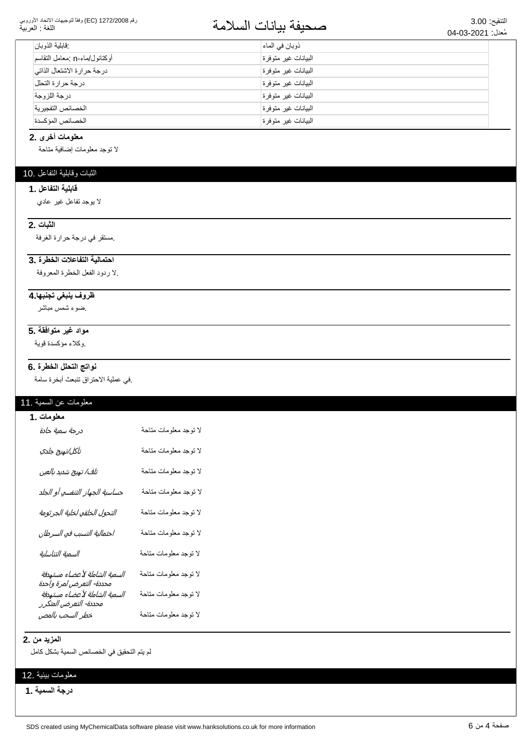#### رقم 1272/2008 (EC) وفقاً لتوجيهات الاتحاد الأوروبي اللغة : العربية

# التنقيع: 3.00<br>مُزار: 2021 02 ـ 209 مصطلحة المسلامة

| : قابلية الذو بان             | ذوبان في الماء       |  |
|-------------------------------|----------------------|--|
| أوكتانول/ماء-n :معامل التقاسم | البيانات غير متوفرة  |  |
| درجة حرارة الاشتعال الذاتي    | البيانات غير متوفر ة |  |
| درجة حرارة التحلل             | البيانات غير متوفرة  |  |
| در جة اللز وجة                | البيانات غير متوفرة  |  |
| الخصائص التفجير ية            | البيانات غير متوفرة  |  |
| الخصائص المؤكسدة              | البيانات غير متوفرة  |  |

#### **معلومات أخرى .2**

لا نوجد معلومات إضافية متاحة

## الثبات وقابلية التفاعل .10

## **قابلية التفاعل . 1**

لا بوجد نفاعل غير عادي

### **2.** الثبات

مستقر في درجة حرارة الغرفة.

#### احتمالية التفاعلات الخطرة .3

لا ردود الفعل الخطرة المعروفة.

#### <del>ظروف ينبغى تجنبها 4</del>

ضوء شمس مباشر

### مواد غير متوافقة .5

وكلاء مؤكسدة قوية

#### نواتج التحلل الخطرة .6

في عملية الاحتراق تتبعث أبخرة سامة.

#### معلومات عن السمية .11

| معلومات .1                                                                         |                       |
|------------------------------------------------------------------------------------|-----------------------|
| درجة سمية حادة                                                                     | لا توجد معلومات متاحة |
| تآكل/تهيج جلدي                                                                     | لا توجد معلومات متاحة |
| تلف/ تهيج شديد بالعين                                                              | لا توجد معلومات متاحة |
| حساسية الجهاز التنفسي أو الجلد                                                     | لا توجد معلومات متاحة |
| التحول الخلقي لخلية الجرثومة                                                       | لا توجد معلومات متاحة |
| احتمالية التسبب في السرطان                                                         | لا توجد معلومات متاحة |
| السمية التناسلية                                                                   | لا توجد معلومات متاحة |
| السمية الشاملة لأعضاء مستهدفة                                                      | لا توجد معلومات متاحة |
| محددة- التعرض لمرة واحدة<br>السمية الشاملة لأعضاء مستهدفة<br>محددة- التعرض المتكرر | لا توجد معلومات متاحة |
| خطر السحب بالمص                                                                    | لا توجد معلومات متاحة |

#### **المزيد من .2**

لم يتم التحقيق في الخصائص السمية بشكل كامل

#### معلومات بيئية .12

**درجة السمية .1**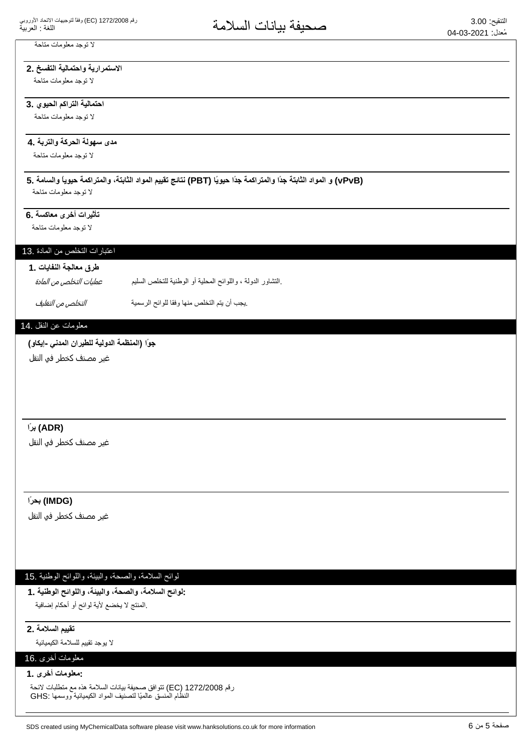## لا توجد معلومات متاحة

## الاستمرارية واحتمالية التفسخ .2

لا توجد معلومات متاحة

## احتمالية التراكم الحيوي .3

لا توجد معلومات متاحة

## مدى سهولة الحركة والتربة **.4**

لا توجد معلومات متاحة

# **5. ΔϣΎγϟϭ˱ΎϳϭϳΣΔϣϛέΗϣϟϭˬΔΗΑΎΛϟΩϭϣϟϡϳϳϘΗΞΎΗϧ (PBT) Ύ˱ϳϭϳΣ˱ΩΟΔϣϛέΗϣϟϭ˱ΩΟΔΗΑΎΛϟΩϭϣϟϭ (vPvB)**

لا توجد معلومات متاحة

## تأثيرات أخرى معاكسة .6

لا توجد معلومات متاحة

## اعتبارات التخلص من المادة .13

## طرق معالجة النفايا*ت* .1

بالتشاور الدولة ، واللوائح المحلية أو الوطنية للتخلص السليم. عمليات التخلص من المادة

ِيجِبِ أن يتم التخلص منها وفقا للوائح الرسمية مستقدم التخلص م*ن التغليف*.

## معلومات عن النقل .14

## جوًا (المنظمة الدولية للطيران المدن*ى* -إيكاو)

غیر مصنف کخطر فو النقل

## **˱έΑ (ADR)**

غير مصنف كخطر في النقل

## **˱έΣΑ (IMDG)**

غیر مصنف کخطر فی النقل

## لوائح السلامة، والصحة، والبيئة، واللوائح الوطنية .15

**1. ΔϳϧρϭϟϭϠϟϭˬΔϳΑϟϭˬΔΣλϟϭˬΔϣϼγϟϭϟ:** المنتج لا يخضع لأية لوائح أو أحكام إضافية.

### **تقييم السلامة .2**

لا بوجد تقييم للسلامة الكيميائية

## معلومات أخرى .16

**1. ϯέΧΕΎϣϭϠόϣ:**

رقم 1272/2008 EC) تتوافق صحيفة بيانات السلامة هذه مع متطلبات لائحة النظام المنسق عالميًا لتصنيف المواد الكيميائية ووسمها :GHS